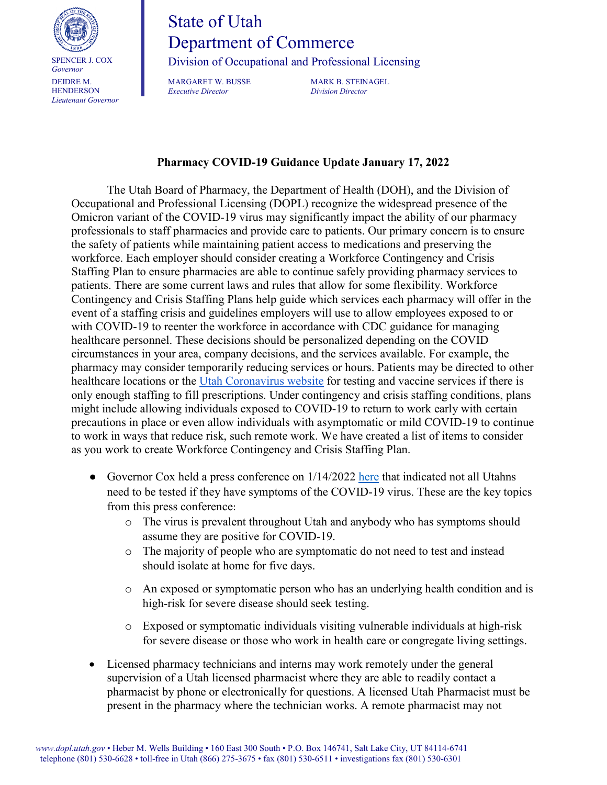

## State of Utah Department of Commerce

Division of Occupational and Professional Licensing

MARGARET W. BUSSE MARK B. STEINAGEL<br>
Executive Director Division Director *Executive Director Division Director*

## **Pharmacy COVID-19 Guidance Update January 17, 2022**

The Utah Board of Pharmacy, the Department of Health (DOH), and the Division of Occupational and Professional Licensing (DOPL) recognize the widespread presence of the Omicron variant of the COVID-19 virus may significantly impact the ability of our pharmacy professionals to staff pharmacies and provide care to patients. Our primary concern is to ensure the safety of patients while maintaining patient access to medications and preserving the workforce. Each employer should consider creating a Workforce Contingency and Crisis Staffing Plan to ensure pharmacies are able to continue safely providing pharmacy services to patients. There are some current laws and rules that allow for some flexibility. Workforce Contingency and Crisis Staffing Plans help guide which services each pharmacy will offer in the event of a staffing crisis and guidelines employers will use to allow employees exposed to or with COVID-19 to reenter the workforce in accordance with CDC guidance for managing [healthcare personnel.](https://www.cdc.gov/coronavirus/2019-ncov/hcp/guidance-risk-assesment-hcp.html) These decisions should be personalized depending on the COVID circumstances in your area, company decisions, and the services available. For example, the pharmacy may consider temporarily reducing services or hours. Patients may be directed to other healthcare locations or the [Utah Coronavirus website](https://coronavirus.utah.gov/testing-locations/) for testing and vaccine services if there is only enough staffing to fill prescriptions. Under contingency and crisis staffing conditions, plans might include allowing individuals exposed to COVID-19 to return to work early with certain precautions in place or even allow individuals with asymptomatic or mild COVID-19 to continue to work in ways that reduce risk, such remote work. We have created a list of items to consider as you work to create Workforce Contingency and Crisis Staffing Plan.

- Governor Cox held a press conference on  $1/14/2022$  [here](https://governor.utah.gov/2022/01/14/utah-covid-19-briefing-jan-14-2022/) that indicated not all Utahns need to be tested if they have symptoms of the COVID-19 virus. These are the key topics from this press conference:
	- o The virus is prevalent throughout Utah and anybody who has symptoms should assume they are positive for COVID-19.
	- o The majority of people who are symptomatic do not need to test and instead should isolate at home for five days.
	- o An exposed or symptomatic person who has an underlying health condition and is high-risk for severe disease should seek testing.
	- o Exposed or symptomatic individuals visiting vulnerable individuals at high-risk for severe disease or those who work in health care or congregate living settings.
- Licensed pharmacy technicians and interns may work remotely under the general supervision of a Utah licensed pharmacist where they are able to readily contact a pharmacist by phone or electronically for questions. A licensed Utah Pharmacist must be present in the pharmacy where the technician works. A remote pharmacist may not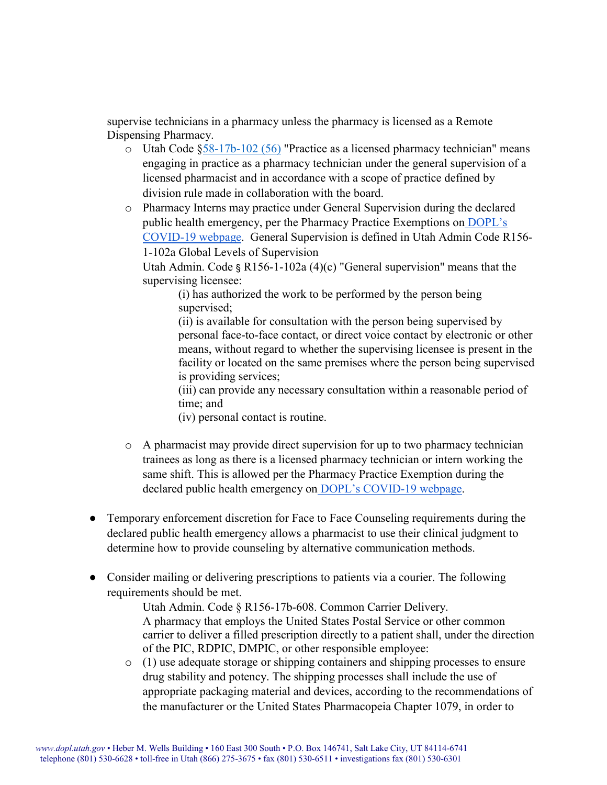supervise technicians in a pharmacy unless the pharmacy is licensed as a Remote Dispensing Pharmacy.

- $\circ$  Utah Code  $\frac{858-17b-102}{56}$  "Practice as a licensed pharmacy technician" means engaging in practice as a pharmacy technician under the general supervision of a licensed pharmacist and in accordance with a scope of practice defined by division rule made in collaboration with the board.
- o Pharmacy Interns may practice under General Supervision during the declared public health emergency, per the Pharmacy Practice Exemptions on [DOPL's](https://dopl.utah.gov/covid19.html)  [COVID-19 webpage.](https://dopl.utah.gov/covid19.html) General Supervision is defined in Utah Admin Code R156- 1-102a Global Levels of Supervision

Utah Admin. Code § R156-1-102a  $(4)(c)$  "General supervision" means that the supervising licensee:

(i) has authorized the work to be performed by the person being supervised;

(ii) is available for consultation with the person being supervised by personal face-to-face contact, or direct voice contact by electronic or other means, without regard to whether the supervising licensee is present in the facility or located on the same premises where the person being supervised is providing services;

(iii) can provide any necessary consultation within a reasonable period of time; and

(iv) personal contact is routine.

- $\circ$  A pharmacist may provide direct supervision for up to two pharmacy technician trainees as long as there is a licensed pharmacy technician or intern working the same shift. This is allowed per the Pharmacy Practice Exemption during the declared public health emergency on [DOPL's COVID-19 webpage.](https://dopl.utah.gov/covid19.html)
- Temporary enforcement discretion for Face to Face Counseling requirements during the declared public health emergency allows a pharmacist to use their clinical judgment to determine how to provide counseling by alternative communication methods.
- Consider mailing or delivering prescriptions to patients via a courier. The following requirements should be met.

Utah Admin. Code § R156-17b-608. Common Carrier Delivery. A pharmacy that employs the United States Postal Service or other common carrier to deliver a filled prescription directly to a patient shall, under the direction of the PIC, RDPIC, DMPIC, or other responsible employee:

o (1) use adequate storage or shipping containers and shipping processes to ensure drug stability and potency. The shipping processes shall include the use of appropriate packaging material and devices, according to the recommendations of the manufacturer or the United States Pharmacopeia Chapter 1079, in order to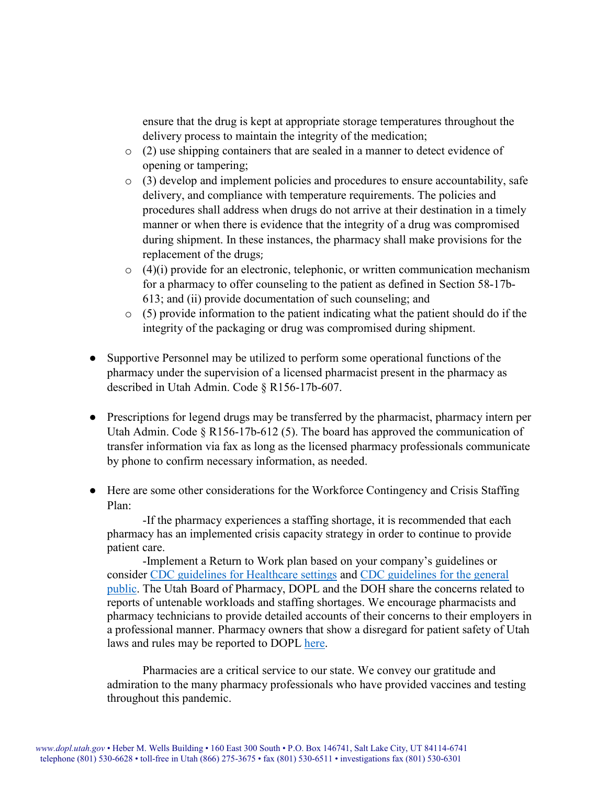ensure that the drug is kept at appropriate storage temperatures throughout the delivery process to maintain the integrity of the medication;

- o (2) use shipping containers that are sealed in a manner to detect evidence of opening or tampering;
- o (3) develop and implement policies and procedures to ensure accountability, safe delivery, and compliance with temperature requirements. The policies and procedures shall address when drugs do not arrive at their destination in a timely manner or when there is evidence that the integrity of a drug was compromised during shipment. In these instances, the pharmacy shall make provisions for the replacement of the drugs;
- $\circ$  (4)(i) provide for an electronic, telephonic, or written communication mechanism for a pharmacy to offer counseling to the patient as defined in Section 58-17b-613; and (ii) provide documentation of such counseling; and
- $\circ$  (5) provide information to the patient indicating what the patient should do if the integrity of the packaging or drug was compromised during shipment.
- Supportive Personnel may be utilized to perform some operational functions of the pharmacy under the supervision of a licensed pharmacist present in the pharmacy as described in Utah Admin. Code § R156-17b-607.
- Prescriptions for legend drugs may be transferred by the pharmacist, pharmacy intern per Utah Admin. Code § R156-17b-612 (5). The board has approved the communication of transfer information via fax as long as the licensed pharmacy professionals communicate by phone to confirm necessary information, as needed.
- Here are some other considerations for the Workforce Contingency and Crisis Staffing Plan:

-If the pharmacy experiences a staffing shortage, it is recommended that each pharmacy has an implemented crisis capacity strategy in order to continue to provide patient care.

-Implement a Return to Work plan based on your company's guidelines or consider [CDC guidelines for Healthcare settings](https://www.cdc.gov/coronavirus/2019-ncov/hcp/guidance-risk-assesment-hcp.html) and [CDC guidelines for the general](https://www.cdc.gov/coronavirus/2019-ncov/your-health/quarantine-isolation.html)  [public.](https://www.cdc.gov/coronavirus/2019-ncov/your-health/quarantine-isolation.html) The Utah Board of Pharmacy, DOPL and the DOH share the concerns related to reports of untenable workloads and staffing shortages. We encourage pharmacists and pharmacy technicians to provide detailed accounts of their concerns to their employers in a professional manner. Pharmacy owners that show a disregard for patient safety of Utah laws and rules may be reported to DOPL [here.](https://dopl.utah.gov/complaint/index.html)

Pharmacies are a critical service to our state. We convey our gratitude and admiration to the many pharmacy professionals who have provided vaccines and testing throughout this pandemic.